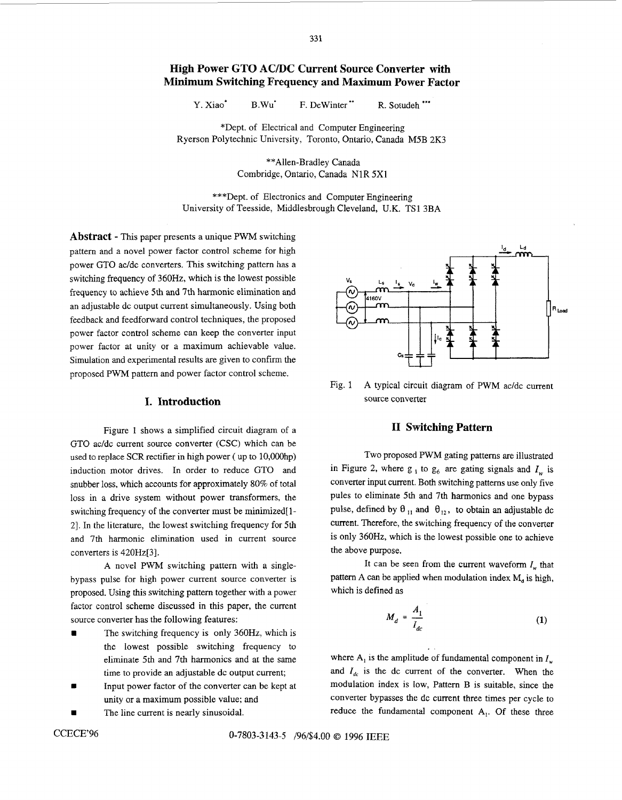# **High Power GTO AC/DC Current Source Conventer with Minimum Switching Frequency and Maximum Power Factor**

Y. Xiao<sup>\*</sup> B.Wu<sup>\*</sup> F. DeWinter<sup>\*\*</sup> R. Sotudeh \*\*\*

\*Dept. of Electrical and Computer Engineering Ryerson Polytechnic University, Toronto, Ontario, Canada **M5B** 2K3

> \*\*Allen-Bradley Canada Combridge, Ontario, Canada N1R **5x1**

\*\*\*Dept. of Electronics and Computer Engineering University of Teesside, Middlesbrough Cleveland, U.K. TS 1 3BA

**Abstract** - This paper presents a unique PWM switching pattern and a novel power factor control scheme for high power GTO ac/dc converters. This switching pattern has a switching frequency of 360Hz, which is the lowest possible frequency to achieve 5th and 7th harmonic elimination and an adjustable dc output current simultaneously. Using both feedback and feedforward control techniques, the proposed power factor control scheme can keep the converter input power factor at unity or a maximum achievable value. Simulation and experimental results are given to confirm the proposed PWM pattern and power factor control scheme.

## **I. Introduction**

Figure 1 shows a simplified circuit diagram of **a**  GTO ac/dc current source converter (CSC) which can be used to replace SCR rectifier in high power ( up to 10,000hp) induction motor drives. In order to reduce GTO and snubber loss, which accounts for approximately 80% of total loss in a drive system without power transformers, the switching frequency of the converter must be minimized[ 1- 21. In the literature, the lowest switching frequency for **5th**  and 7th harmonic elimination used in current source converters is 420Hz[31.

A novel **PWM** switching pattern with a singlebypass pulse for high power current source converter is proposed. Using this switching pattern together with a power factor control scheme discussed in this paper, the current source converter has the following features:

- The switching frequency is only 360Hz, which is the lowest possible switching frequency to eliminate 5th and 7th harmonics and at the same time to provide an adjustable dc output current;
- Input power factor of the converter can be kept at unity or a maximum possible value; and
- The line current is nearly sinusoidal.



Fig. 1 A typical circuit diagram of PWM ac/dc current source converter

### **I1 Switching Pattern**

Two proposed PWM gating patterns are illustrated in Figure 2, where  $g_1$  to  $g_6$  are gating signals and  $I_w$  is converter input current. Both switching patterns use only five pules to eliminate **5th** and 7th harmonics and one bypass pulse, defined by  $\theta_{11}$  and  $\theta_{12}$ , to obtain an adjustable dc current. Therefore, the switching frequency of the converter is only 360Hz, which is the lowest possible one to achieve the above purpose.

It can be seen from the current waveform  $I_w$  that pattern A can be applied when modulation index  $M<sub>a</sub>$  is high, which is defined as

$$
M_d = \frac{A_1}{I_{dc}} \tag{1}
$$

where  $A_1$  is the amplitude of fundamental component in  $I_w$ and  $I_{dc}$  is the dc current of the converter. When the modulation index is low, Pattern B is suitable, since the converter bypasses the dc current three times per cycle to reduce the fundamental component **A,.** Of these three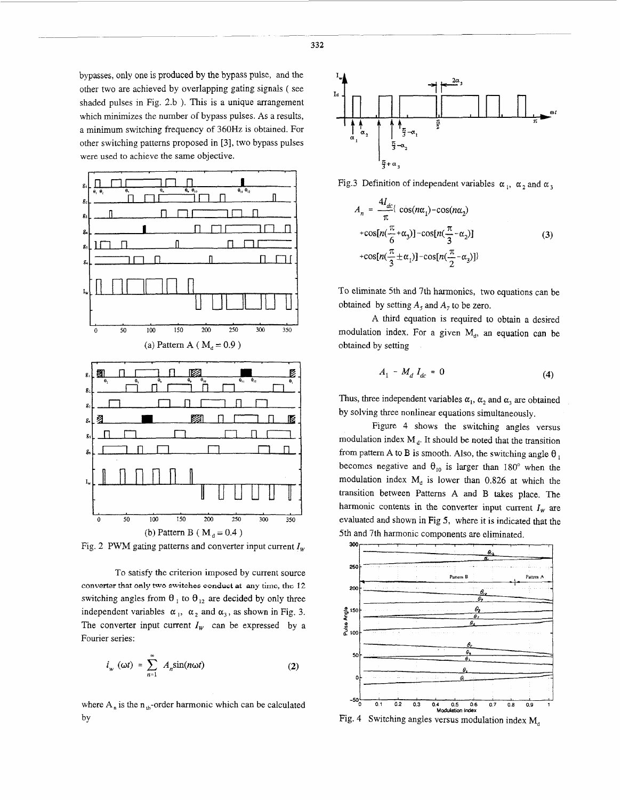bypasses, only one is produced by the bypass pulse, and the other two are achieved by overlapping gating signals ( see shaded pulses in Fig. 2.b ). This is a unique arrangement which minimizes the number of bypass pulses. As a results, a minimum switching frequency of 360Hz is obtained. For other switching patterns proposed in [3], two bypass pulses were used to achieve the same objective.



Fig. 2 PWM gating patterns and converter input current  $I_w$ 

To satisfy the criterion imposed by current source **converter that only two switches conduct at any** time, **the** 12 switching angles from  $\theta_1$  to  $\theta_{12}$  are decided by only three independent variables  $\alpha_1$ ,  $\alpha_2$  and  $\alpha_3$ , as shown in Fig. 3. The converter input current  $I_w$  can be expressed by a Fourier series:

$$
i_{w} (\omega t) = \sum_{n=1}^{\infty} A_{n} \sin(n \omega t)
$$
 (2)

where  $A_n$  is the  $n_{th}$ -order harmonic which can be calculated by



Fig.3 Definition of independent variables  $\alpha_1$ ,  $\alpha_2$  and  $\alpha_3$ 

$$
A_n = \frac{4I_{dc}}{\pi} \left( \cos(n\alpha_1) - \cos(n\alpha_2) \right)
$$
  
+ 
$$
\cos[n(\frac{\pi}{6} + \alpha_3)] - \cos[n(\frac{\pi}{3} - \alpha_2)]
$$
  
+ 
$$
\cos[n(\frac{\pi}{3} \pm \alpha_1)] - \cos[n(\frac{\pi}{2} - \alpha_3)]
$$
 (3)

To eliminate 5th and 7th harmonics, two equations can be obtained by setting  $A_5$  and  $A_7$  to be zero.

A third equation is required to obtain a desired modulation index. For a given  $M_d$ , an equation can be obtained by setting

$$
A_1 - M_d I_{dc} = 0 \tag{4}
$$

Thus, three independent variables  $\alpha_1$ ,  $\alpha_2$  and  $\alpha_3$  are obtained by solving three nonlinear equations simultaneously.

Figure 4 shows the switching angles versus modulation index  $M_d$ . It should be noted that the transition from pattern A to B is smooth. Also, the switching angle  $\theta_1$ becomes negative and  $\theta_{10}$  is larger than 180° when the modulation index  $M_d$  is lower than 0.826 at which the transition between Patterns A and B takes place. The harmonic contents in the converter input current  $I_w$  are evaluated and shown in Fig *5,* where it is indicated that the 5th and 7th harmonic components are eliminated.



Fig. 4 Switching angles versus modulation index  $M_d$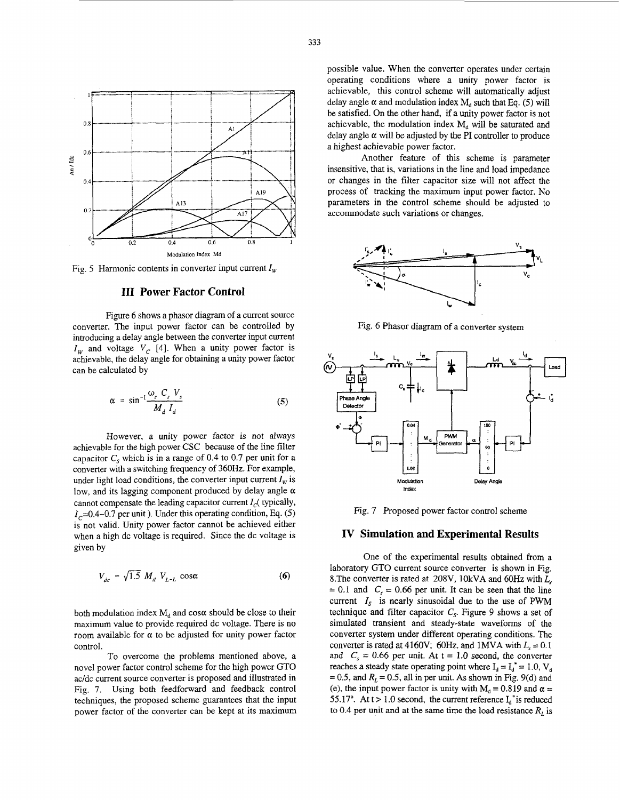

Fig. 5 Harmonic contents in converter input current  $I_w$ 

#### **111 Power Factor Control**

Figure 6 shows a phasor diagram of a current source converter. The input power factor can be controlled by introducing a delay angle between the converter input current  $I_{W}$  and voltage  $V_{C}$  [4]. When a unity power factor is achievable, the delay angle for obtaining a unity power factor can be calculated by

$$
\alpha = \sin^{-1} \frac{\omega_s C_s V_s}{M_d I_d} \tag{5}
$$

However, a unity power factor is not always achievable for the high power *CSC* because of the line filter capacitor  $C_s$  which is in a range of 0.4 to 0.7 per unit for a converter with a switching frequency of 360Hz. For example, under light load conditions, the converter input current  $I_w$  is low, and its lagging component produced by delay angle *a*  cannot compensate the leading capacitor current  $I_c$  (typically,  $I_c$ =0.4~0.7 per unit ). Under this operating condition, Eq.  $(5)$ is not valid. Unity power factor cannot be achieved either when a high dc voltage is required. Since the dc voltage is given by

$$
V_{dc} = \sqrt{1.5} M_d V_{L-L} \cos\alpha \tag{6}
$$

both modulation index  $M_d$  and  $\cos \alpha$  should be close to their maximum value to provide required dc voltage. There is no room available for *a* to be adjusted for unity power factor control.

To overcome the problems mentioned above, a novel power factor control scheme for the high power GTO ac/dc current source converter is proposed and illustrated in Fig. 7. Using both feedforward and feedback control techniques, the proposed scheme guarantees that the input power factor of the converter can be kept at its maximum possible value. When the converter operates under certain operating conditions where a unity power factor is achievable, this control scheme will automatically adjust delay angle  $\alpha$  and modulation index  $M_d$  such that Eq. (5) will be satisfied. On the other hand, if a unity power factor is not achievable, the modulation index  $M_d$  will be saturated and delay angle  $\alpha$  will be adjusted by the PI controller to produce a highest achievable power factor.

Another feature of this scheme is parameter insensitive, that is, variations in the line and load impedance or changes in the filter capacitor size will not affect the process of tracking the maximum input power factor. No parameters in the control scheme should be adjusted to accommodate such variations or changes.



Fig. 6 Phasor diagram of a converter system



Fig. 7 Proposed power factor control scheme

### **IV Simulation and Experimental Results**

One of the experimental results obtained from a laboratory GTO current source converter is shown in Fig. 8.The converter is rated at 208V, 10kVA and 60Hz with  $L_s$  = 0.1 and  $C_s$  = 0.66 per unit. It can be seen that the line current  $I_s$  is nearly sinusoidal due to the use of PWM technique and filter capacitor  $C_s$ . Figure 9 shows a set of simulated transient and steady-state waveforms of the converter system under different operating conditions. The converter is rated at 4160V; 60Hz, and 1MVA with  $L<sub>s</sub> = 0.1$ and  $C_s = 0.66$  per unit. At t = 1.0 second, the converter reaches a steady state operating point where  $I_d = I_d^* = 1.0$ ,  $V_d$  $= 0.5$ , and  $R<sub>L</sub> = 0.5$ , all in per unit. As shown in Fig. 9(d) and (e), the input power factor is unity with  $M_d = 0.819$  and  $\alpha =$ 55.17°. At  $t > 1.0$  second, the current reference  $I_d^*$  is reduced to 0.4 per unit and at the same time the load resistance  $R<sub>L</sub>$  is